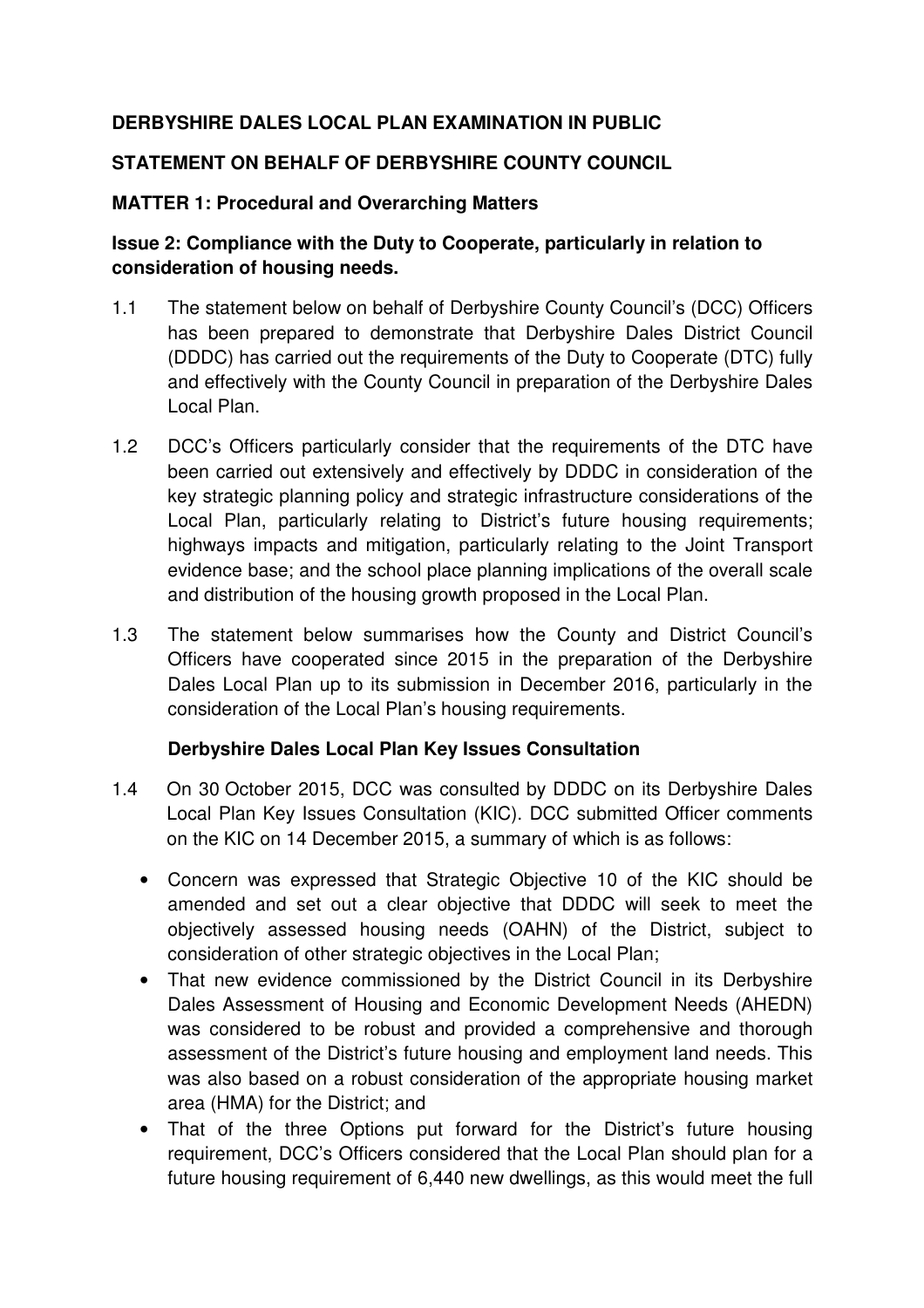## **DERBYSHIRE DALES LOCAL PLAN EXAMINATION IN PUBLIC**

#### **STATEMENT ON BEHALF OF DERBYSHIRE COUNTY COUNCIL**

#### **MATTER 1: Procedural and Overarching Matters**

## **Issue 2: Compliance with the Duty to Cooperate, particularly in relation to consideration of housing needs.**

- 1.1 The statement below on behalf of Derbyshire County Council's (DCC) Officers has been prepared to demonstrate that Derbyshire Dales District Council (DDDC) has carried out the requirements of the Duty to Cooperate (DTC) fully and effectively with the County Council in preparation of the Derbyshire Dales Local Plan.
- 1.2 DCC's Officers particularly consider that the requirements of the DTC have been carried out extensively and effectively by DDDC in consideration of the key strategic planning policy and strategic infrastructure considerations of the Local Plan, particularly relating to District's future housing requirements; highways impacts and mitigation, particularly relating to the Joint Transport evidence base; and the school place planning implications of the overall scale and distribution of the housing growth proposed in the Local Plan.
- 1.3 The statement below summarises how the County and District Council's Officers have cooperated since 2015 in the preparation of the Derbyshire Dales Local Plan up to its submission in December 2016, particularly in the consideration of the Local Plan's housing requirements.

## **Derbyshire Dales Local Plan Key Issues Consultation**

- 1.4 On 30 October 2015, DCC was consulted by DDDC on its Derbyshire Dales Local Plan Key Issues Consultation (KIC). DCC submitted Officer comments on the KIC on 14 December 2015, a summary of which is as follows:
	- Concern was expressed that Strategic Objective 10 of the KIC should be amended and set out a clear objective that DDDC will seek to meet the objectively assessed housing needs (OAHN) of the District, subject to consideration of other strategic objectives in the Local Plan;
	- That new evidence commissioned by the District Council in its Derbyshire Dales Assessment of Housing and Economic Development Needs (AHEDN) was considered to be robust and provided a comprehensive and thorough assessment of the District's future housing and employment land needs. This was also based on a robust consideration of the appropriate housing market area (HMA) for the District; and
	- That of the three Options put forward for the District's future housing requirement, DCC's Officers considered that the Local Plan should plan for a future housing requirement of 6,440 new dwellings, as this would meet the full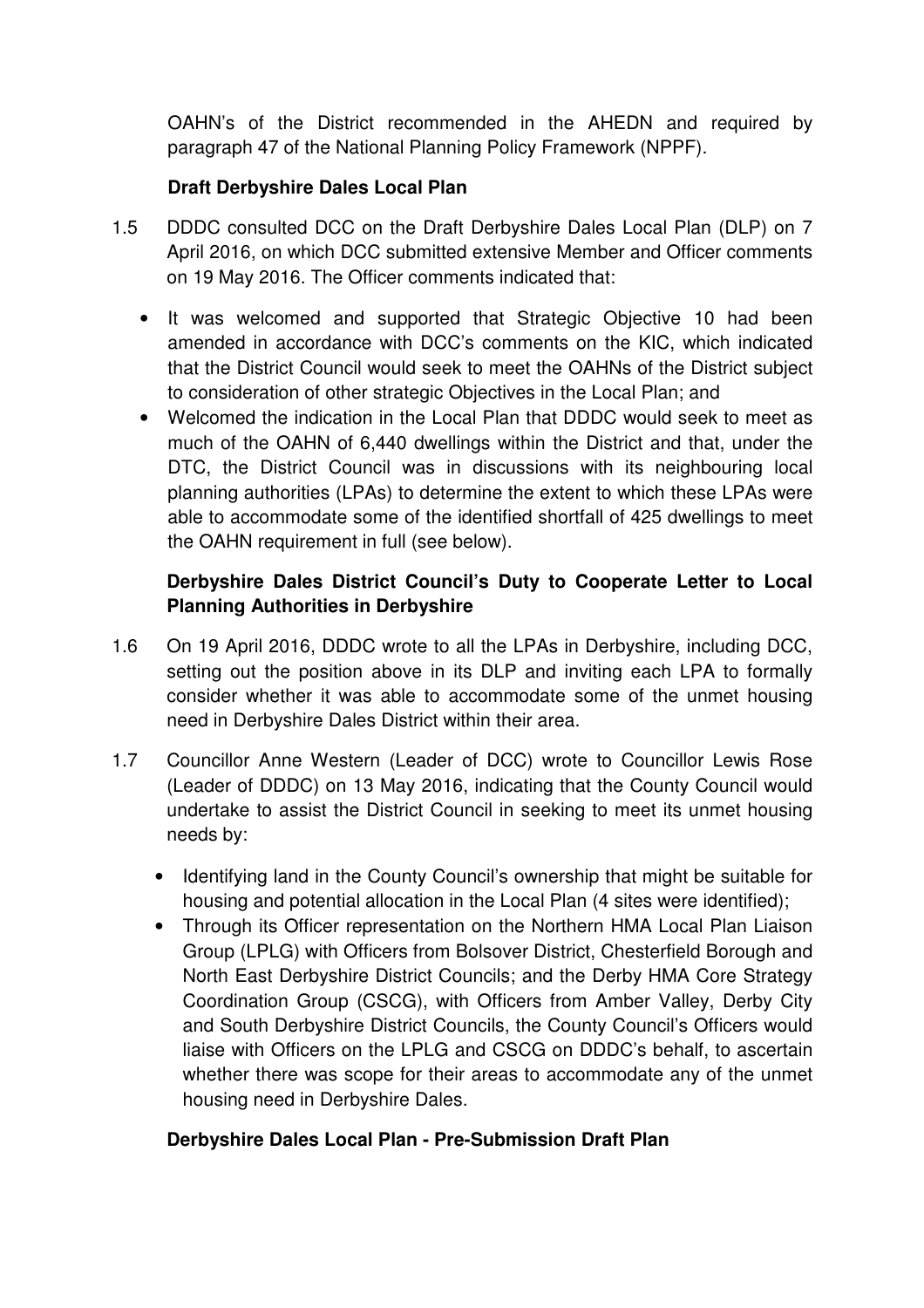OAHN's of the District recommended in the AHEDN and required by paragraph 47 of the National Planning Policy Framework (NPPF).

## **Draft Derbyshire Dales Local Plan**

- 1.5 DDDC consulted DCC on the Draft Derbyshire Dales Local Plan (DLP) on 7 April 2016, on which DCC submitted extensive Member and Officer comments on 19 May 2016. The Officer comments indicated that:
	- It was welcomed and supported that Strategic Objective 10 had been amended in accordance with DCC's comments on the KIC, which indicated that the District Council would seek to meet the OAHNs of the District subject to consideration of other strategic Objectives in the Local Plan; and
	- Welcomed the indication in the Local Plan that DDDC would seek to meet as much of the OAHN of 6,440 dwellings within the District and that, under the DTC, the District Council was in discussions with its neighbouring local planning authorities (LPAs) to determine the extent to which these LPAs were able to accommodate some of the identified shortfall of 425 dwellings to meet the OAHN requirement in full (see below).

## **Derbyshire Dales District Council's Duty to Cooperate Letter to Local Planning Authorities in Derbyshire**

- 1.6 On 19 April 2016, DDDC wrote to all the LPAs in Derbyshire, including DCC, setting out the position above in its DLP and inviting each LPA to formally consider whether it was able to accommodate some of the unmet housing need in Derbyshire Dales District within their area.
- 1.7 Councillor Anne Western (Leader of DCC) wrote to Councillor Lewis Rose (Leader of DDDC) on 13 May 2016, indicating that the County Council would undertake to assist the District Council in seeking to meet its unmet housing needs by:
	- Identifying land in the County Council's ownership that might be suitable for housing and potential allocation in the Local Plan (4 sites were identified);
	- Through its Officer representation on the Northern HMA Local Plan Liaison Group (LPLG) with Officers from Bolsover District, Chesterfield Borough and North East Derbyshire District Councils; and the Derby HMA Core Strategy Coordination Group (CSCG), with Officers from Amber Valley, Derby City and South Derbyshire District Councils, the County Council's Officers would liaise with Officers on the LPLG and CSCG on DDDC's behalf, to ascertain whether there was scope for their areas to accommodate any of the unmet housing need in Derbyshire Dales.

## **Derbyshire Dales Local Plan - Pre-Submission Draft Plan**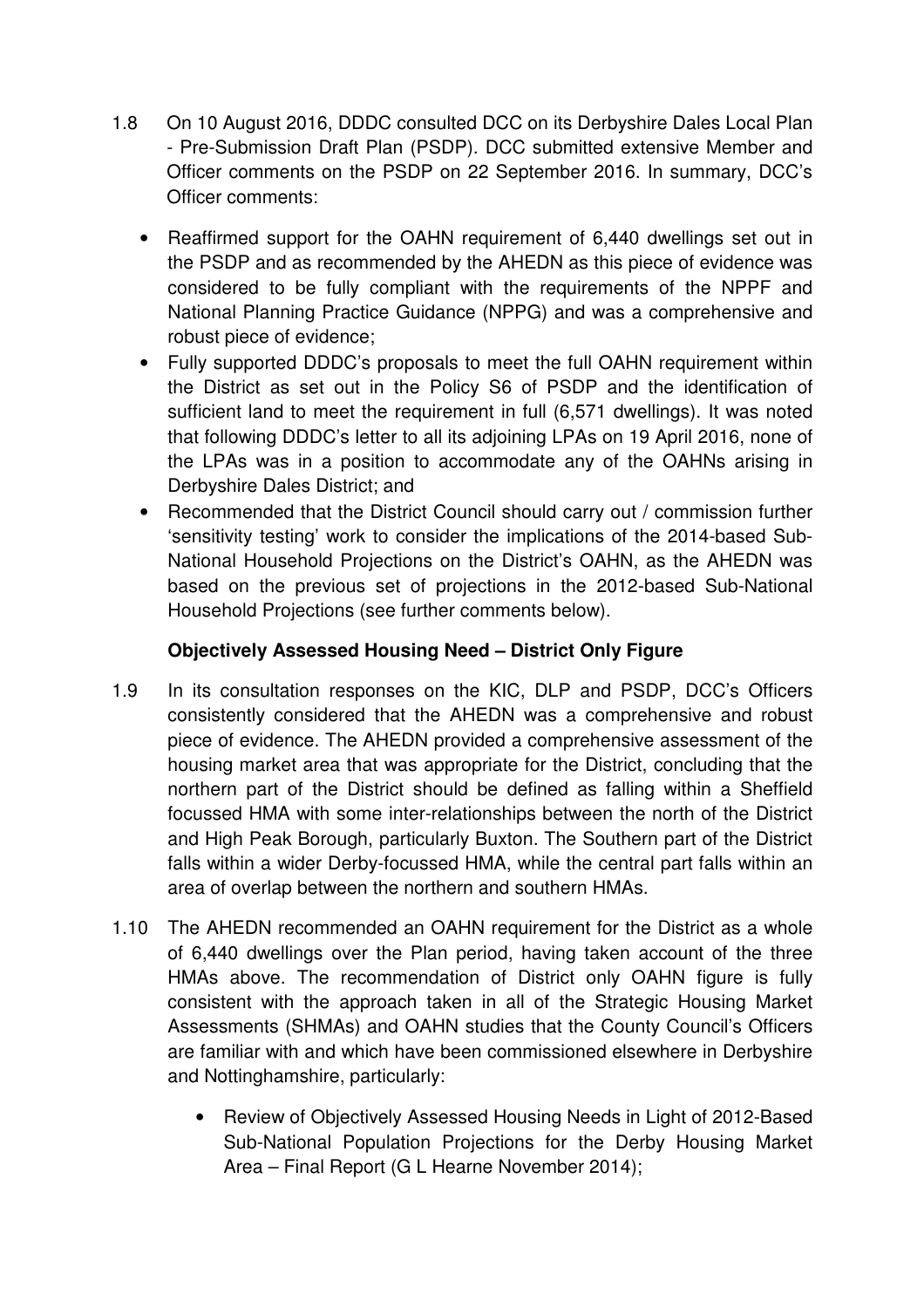- 1.8 On 10 August 2016, DDDC consulted DCC on its Derbyshire Dales Local Plan - Pre-Submission Draft Plan (PSDP). DCC submitted extensive Member and Officer comments on the PSDP on 22 September 2016. In summary, DCC's Officer comments:
	- Reaffirmed support for the OAHN requirement of 6,440 dwellings set out in the PSDP and as recommended by the AHEDN as this piece of evidence was considered to be fully compliant with the requirements of the NPPF and National Planning Practice Guidance (NPPG) and was a comprehensive and robust piece of evidence;
	- Fully supported DDDC's proposals to meet the full OAHN requirement within the District as set out in the Policy S6 of PSDP and the identification of sufficient land to meet the requirement in full (6,571 dwellings). It was noted that following DDDC's letter to all its adjoining LPAs on 19 April 2016, none of the LPAs was in a position to accommodate any of the OAHNs arising in Derbyshire Dales District; and
	- Recommended that the District Council should carry out / commission further 'sensitivity testing' work to consider the implications of the 2014-based Sub-National Household Projections on the District's OAHN, as the AHEDN was based on the previous set of projections in the 2012-based Sub-National Household Projections (see further comments below).

# **Objectively Assessed Housing Need – District Only Figure**

- 1.9 In its consultation responses on the KIC, DLP and PSDP, DCC's Officers consistently considered that the AHEDN was a comprehensive and robust piece of evidence. The AHEDN provided a comprehensive assessment of the housing market area that was appropriate for the District, concluding that the northern part of the District should be defined as falling within a Sheffield focussed HMA with some inter-relationships between the north of the District and High Peak Borough, particularly Buxton. The Southern part of the District falls within a wider Derby-focussed HMA, while the central part falls within an area of overlap between the northern and southern HMAs.
- 1.10 The AHEDN recommended an OAHN requirement for the District as a whole of 6,440 dwellings over the Plan period, having taken account of the three HMAs above. The recommendation of District only OAHN figure is fully consistent with the approach taken in all of the Strategic Housing Market Assessments (SHMAs) and OAHN studies that the County Council's Officers are familiar with and which have been commissioned elsewhere in Derbyshire and Nottinghamshire, particularly:
	- Review of Objectively Assessed Housing Needs in Light of 2012-Based Sub-National Population Projections for the Derby Housing Market Area – Final Report (G L Hearne November 2014);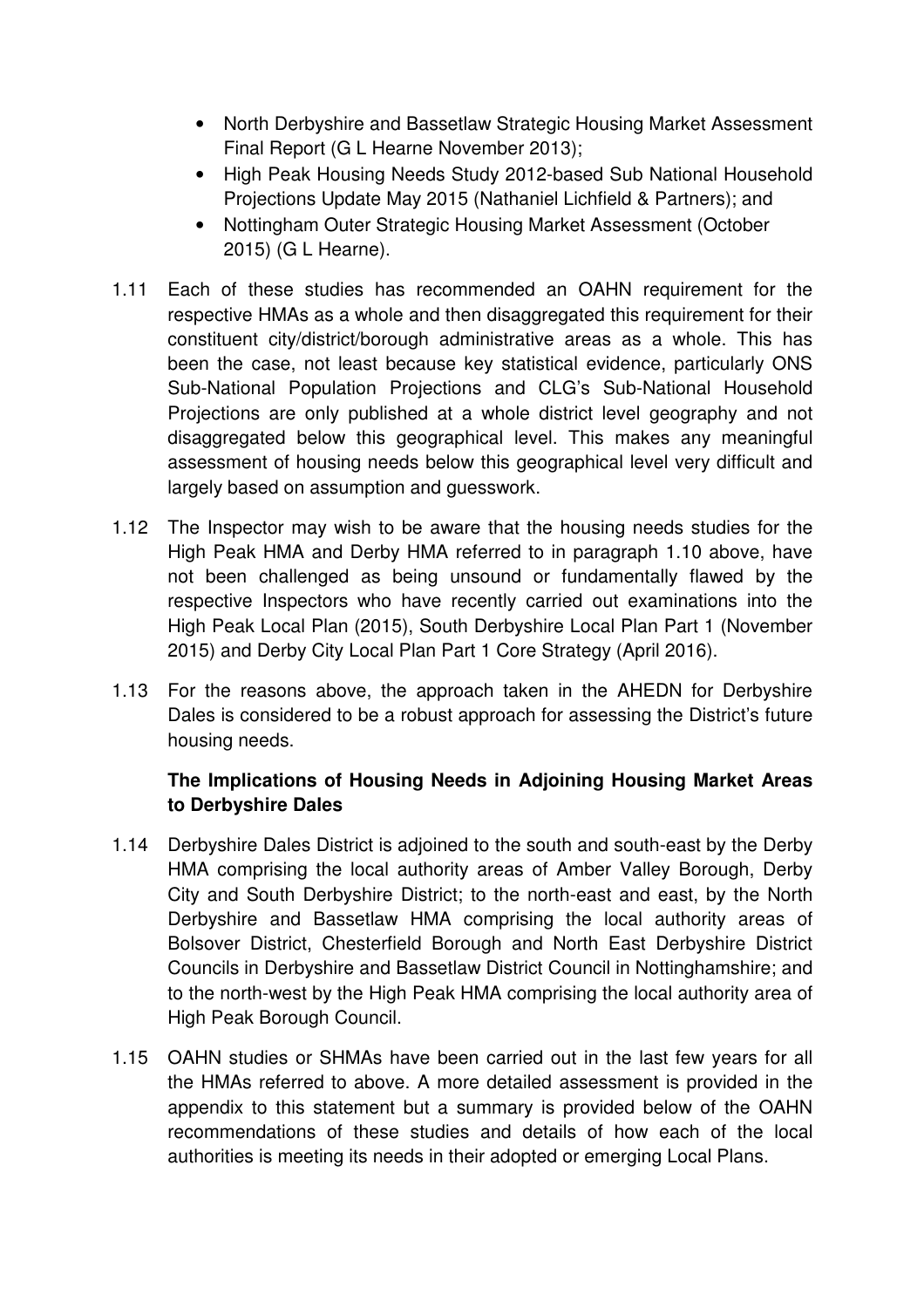- North Derbyshire and Bassetlaw Strategic Housing Market Assessment Final Report (G L Hearne November 2013);
- High Peak Housing Needs Study 2012-based Sub National Household Projections Update May 2015 (Nathaniel Lichfield & Partners); and
- Nottingham Outer Strategic Housing Market Assessment (October 2015) (G L Hearne).
- 1.11 Each of these studies has recommended an OAHN requirement for the respective HMAs as a whole and then disaggregated this requirement for their constituent city/district/borough administrative areas as a whole. This has been the case, not least because key statistical evidence, particularly ONS Sub-National Population Projections and CLG's Sub-National Household Projections are only published at a whole district level geography and not disaggregated below this geographical level. This makes any meaningful assessment of housing needs below this geographical level very difficult and largely based on assumption and guesswork.
- 1.12 The Inspector may wish to be aware that the housing needs studies for the High Peak HMA and Derby HMA referred to in paragraph 1.10 above, have not been challenged as being unsound or fundamentally flawed by the respective Inspectors who have recently carried out examinations into the High Peak Local Plan (2015), South Derbyshire Local Plan Part 1 (November 2015) and Derby City Local Plan Part 1 Core Strategy (April 2016).
- 1.13 For the reasons above, the approach taken in the AHEDN for Derbyshire Dales is considered to be a robust approach for assessing the District's future housing needs.

# **The Implications of Housing Needs in Adjoining Housing Market Areas to Derbyshire Dales**

- 1.14 Derbyshire Dales District is adjoined to the south and south-east by the Derby HMA comprising the local authority areas of Amber Valley Borough, Derby City and South Derbyshire District; to the north-east and east, by the North Derbyshire and Bassetlaw HMA comprising the local authority areas of Bolsover District, Chesterfield Borough and North East Derbyshire District Councils in Derbyshire and Bassetlaw District Council in Nottinghamshire; and to the north-west by the High Peak HMA comprising the local authority area of High Peak Borough Council.
- 1.15 OAHN studies or SHMAs have been carried out in the last few years for all the HMAs referred to above. A more detailed assessment is provided in the appendix to this statement but a summary is provided below of the OAHN recommendations of these studies and details of how each of the local authorities is meeting its needs in their adopted or emerging Local Plans.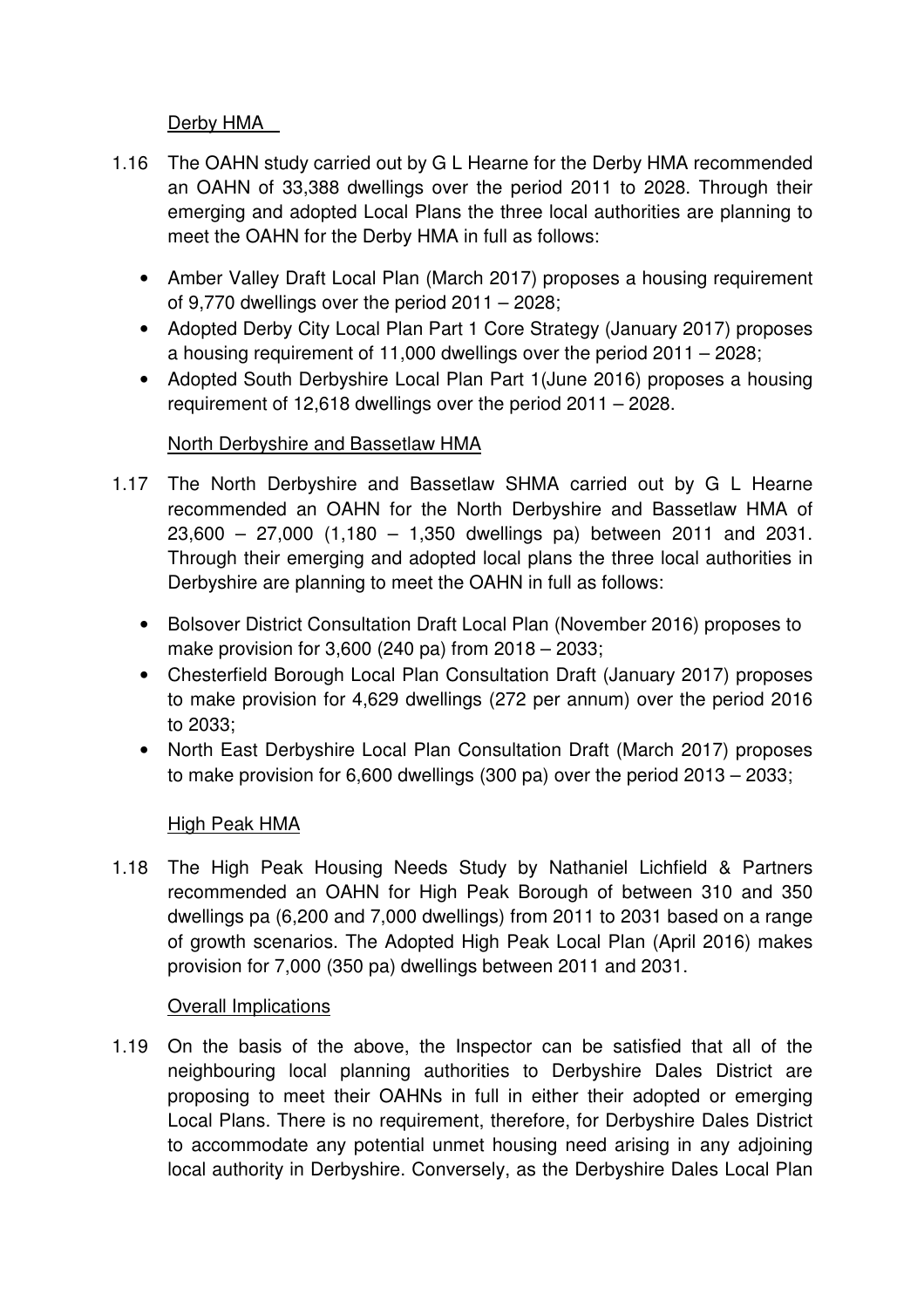## Derby HMA

- 1.16 The OAHN study carried out by G L Hearne for the Derby HMA recommended an OAHN of 33,388 dwellings over the period 2011 to 2028. Through their emerging and adopted Local Plans the three local authorities are planning to meet the OAHN for the Derby HMA in full as follows:
	- Amber Valley Draft Local Plan (March 2017) proposes a housing requirement of 9,770 dwellings over the period 2011 – 2028;
	- Adopted Derby City Local Plan Part 1 Core Strategy (January 2017) proposes a housing requirement of 11,000 dwellings over the period 2011 – 2028;
	- Adopted South Derbyshire Local Plan Part 1(June 2016) proposes a housing requirement of 12,618 dwellings over the period 2011 – 2028.

## North Derbyshire and Bassetlaw HMA

- 1.17 The North Derbyshire and Bassetlaw SHMA carried out by G L Hearne recommended an OAHN for the North Derbyshire and Bassetlaw HMA of 23,600 – 27,000 (1,180 – 1,350 dwellings pa) between 2011 and 2031. Through their emerging and adopted local plans the three local authorities in Derbyshire are planning to meet the OAHN in full as follows:
	- Bolsover District Consultation Draft Local Plan (November 2016) proposes to make provision for 3,600 (240 pa) from 2018 – 2033;
	- Chesterfield Borough Local Plan Consultation Draft (January 2017) proposes to make provision for 4,629 dwellings (272 per annum) over the period 2016 to 2033;
	- North East Derbyshire Local Plan Consultation Draft (March 2017) proposes to make provision for 6,600 dwellings (300 pa) over the period 2013 – 2033;

## High Peak HMA

1.18 The High Peak Housing Needs Study by Nathaniel Lichfield & Partners recommended an OAHN for High Peak Borough of between 310 and 350 dwellings pa (6,200 and 7,000 dwellings) from 2011 to 2031 based on a range of growth scenarios. The Adopted High Peak Local Plan (April 2016) makes provision for 7,000 (350 pa) dwellings between 2011 and 2031.

## **Overall Implications**

1.19 On the basis of the above, the Inspector can be satisfied that all of the neighbouring local planning authorities to Derbyshire Dales District are proposing to meet their OAHNs in full in either their adopted or emerging Local Plans. There is no requirement, therefore, for Derbyshire Dales District to accommodate any potential unmet housing need arising in any adjoining local authority in Derbyshire. Conversely, as the Derbyshire Dales Local Plan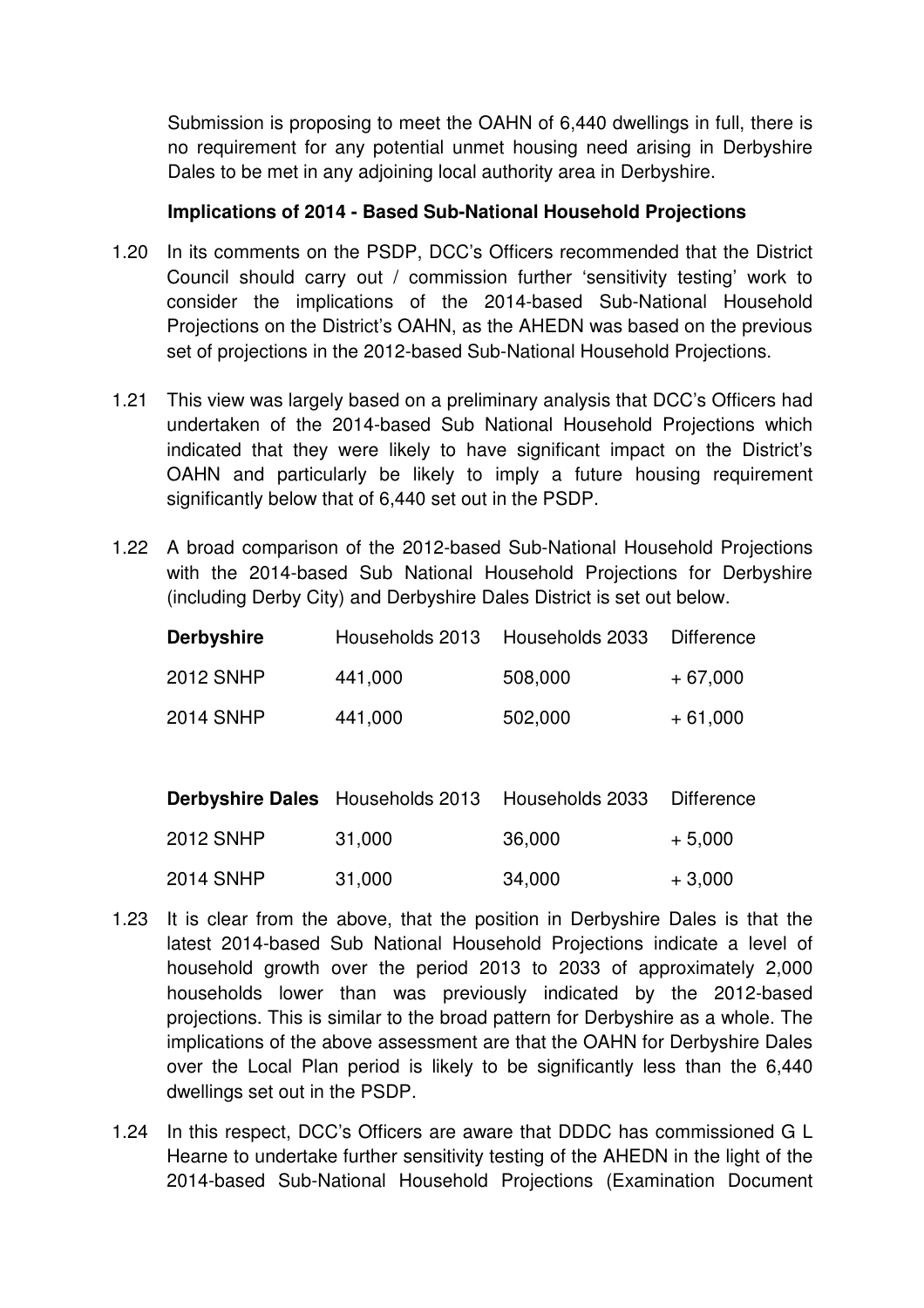Submission is proposing to meet the OAHN of 6,440 dwellings in full, there is no requirement for any potential unmet housing need arising in Derbyshire Dales to be met in any adjoining local authority area in Derbyshire.

#### **Implications of 2014 - Based Sub-National Household Projections**

- 1.20 In its comments on the PSDP, DCC's Officers recommended that the District Council should carry out / commission further 'sensitivity testing' work to consider the implications of the 2014-based Sub-National Household Projections on the District's OAHN, as the AHEDN was based on the previous set of projections in the 2012-based Sub-National Household Projections.
- 1.21 This view was largely based on a preliminary analysis that DCC's Officers had undertaken of the 2014-based Sub National Household Projections which indicated that they were likely to have significant impact on the District's OAHN and particularly be likely to imply a future housing requirement significantly below that of 6,440 set out in the PSDP.
- 1.22 A broad comparison of the 2012-based Sub-National Household Projections with the 2014-based Sub National Household Projections for Derbyshire (including Derby City) and Derbyshire Dales District is set out below.

| <b>Derbyshire</b> | Households 2013 Households 2033 |         | Difference |
|-------------------|---------------------------------|---------|------------|
| <b>2012 SNHP</b>  | 441,000                         | 508,000 | $+67,000$  |
| <b>2014 SNHP</b>  | 441,000                         | 502,000 | $+61,000$  |

|                  | <b>Derbyshire Dales</b> Households 2013 Households 2033 |        | Difference |
|------------------|---------------------------------------------------------|--------|------------|
| <b>2012 SNHP</b> | 31,000                                                  | 36,000 | $+5,000$   |
| <b>2014 SNHP</b> | 31,000                                                  | 34,000 | $+3,000$   |

- 1.23 It is clear from the above, that the position in Derbyshire Dales is that the latest 2014-based Sub National Household Projections indicate a level of household growth over the period 2013 to 2033 of approximately 2,000 households lower than was previously indicated by the 2012-based projections. This is similar to the broad pattern for Derbyshire as a whole. The implications of the above assessment are that the OAHN for Derbyshire Dales over the Local Plan period is likely to be significantly less than the 6,440 dwellings set out in the PSDP.
- 1.24 In this respect, DCC's Officers are aware that DDDC has commissioned G L Hearne to undertake further sensitivity testing of the AHEDN in the light of the 2014-based Sub-National Household Projections (Examination Document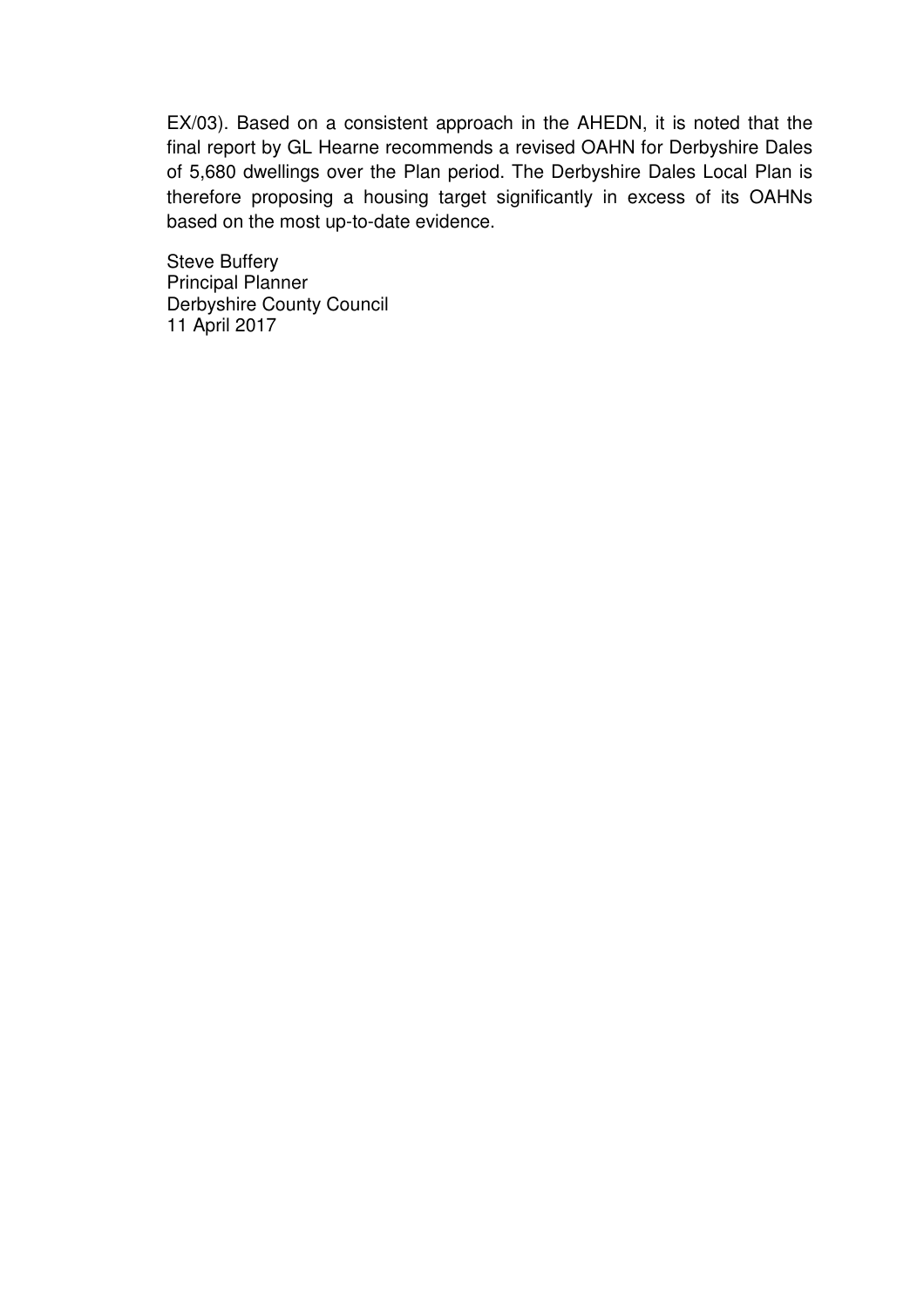EX/03). Based on a consistent approach in the AHEDN, it is noted that the final report by GL Hearne recommends a revised OAHN for Derbyshire Dales of 5,680 dwellings over the Plan period. The Derbyshire Dales Local Plan is therefore proposing a housing target significantly in excess of its OAHNs based on the most up-to-date evidence.

Steve Buffery Principal Planner Derbyshire County Council 11 April 2017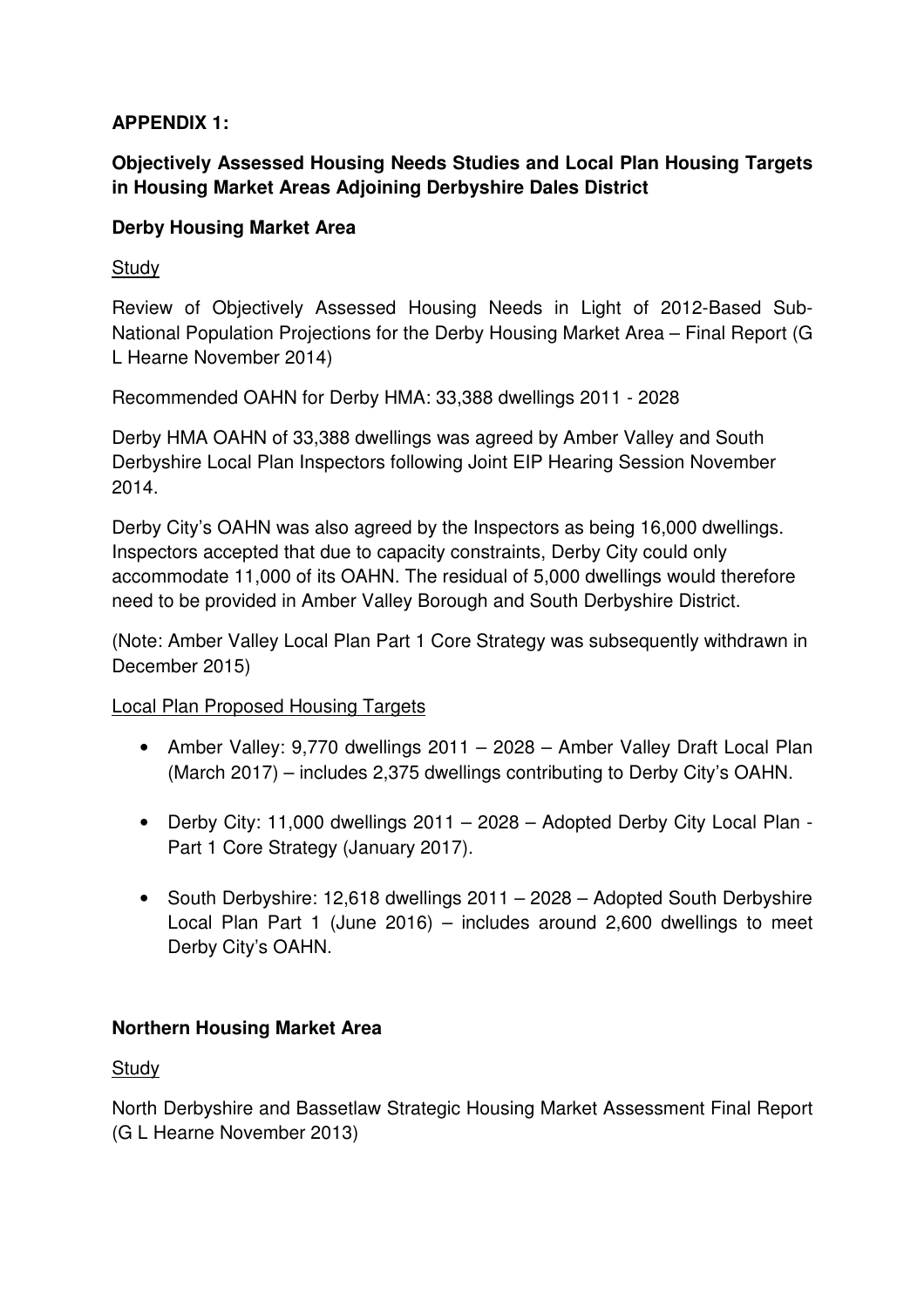## **APPENDIX 1:**

# **Objectively Assessed Housing Needs Studies and Local Plan Housing Targets in Housing Market Areas Adjoining Derbyshire Dales District**

## **Derby Housing Market Area**

## **Study**

Review of Objectively Assessed Housing Needs in Light of 2012-Based Sub-National Population Projections for the Derby Housing Market Area – Final Report (G L Hearne November 2014)

Recommended OAHN for Derby HMA: 33,388 dwellings 2011 - 2028

Derby HMA OAHN of 33,388 dwellings was agreed by Amber Valley and South Derbyshire Local Plan Inspectors following Joint EIP Hearing Session November 2014.

Derby City's OAHN was also agreed by the Inspectors as being 16,000 dwellings. Inspectors accepted that due to capacity constraints, Derby City could only accommodate 11,000 of its OAHN. The residual of 5,000 dwellings would therefore need to be provided in Amber Valley Borough and South Derbyshire District.

(Note: Amber Valley Local Plan Part 1 Core Strategy was subsequently withdrawn in December 2015)

Local Plan Proposed Housing Targets

- Amber Valley: 9,770 dwellings 2011 2028 Amber Valley Draft Local Plan (March 2017) – includes 2,375 dwellings contributing to Derby City's OAHN.
- Derby City: 11,000 dwellings 2011 2028 Adopted Derby City Local Plan Part 1 Core Strategy (January 2017).
- South Derbyshire: 12,618 dwellings 2011 2028 Adopted South Derbyshire Local Plan Part 1 (June 2016) – includes around 2,600 dwellings to meet Derby City's OAHN.

# **Northern Housing Market Area**

**Study** 

North Derbyshire and Bassetlaw Strategic Housing Market Assessment Final Report (G L Hearne November 2013)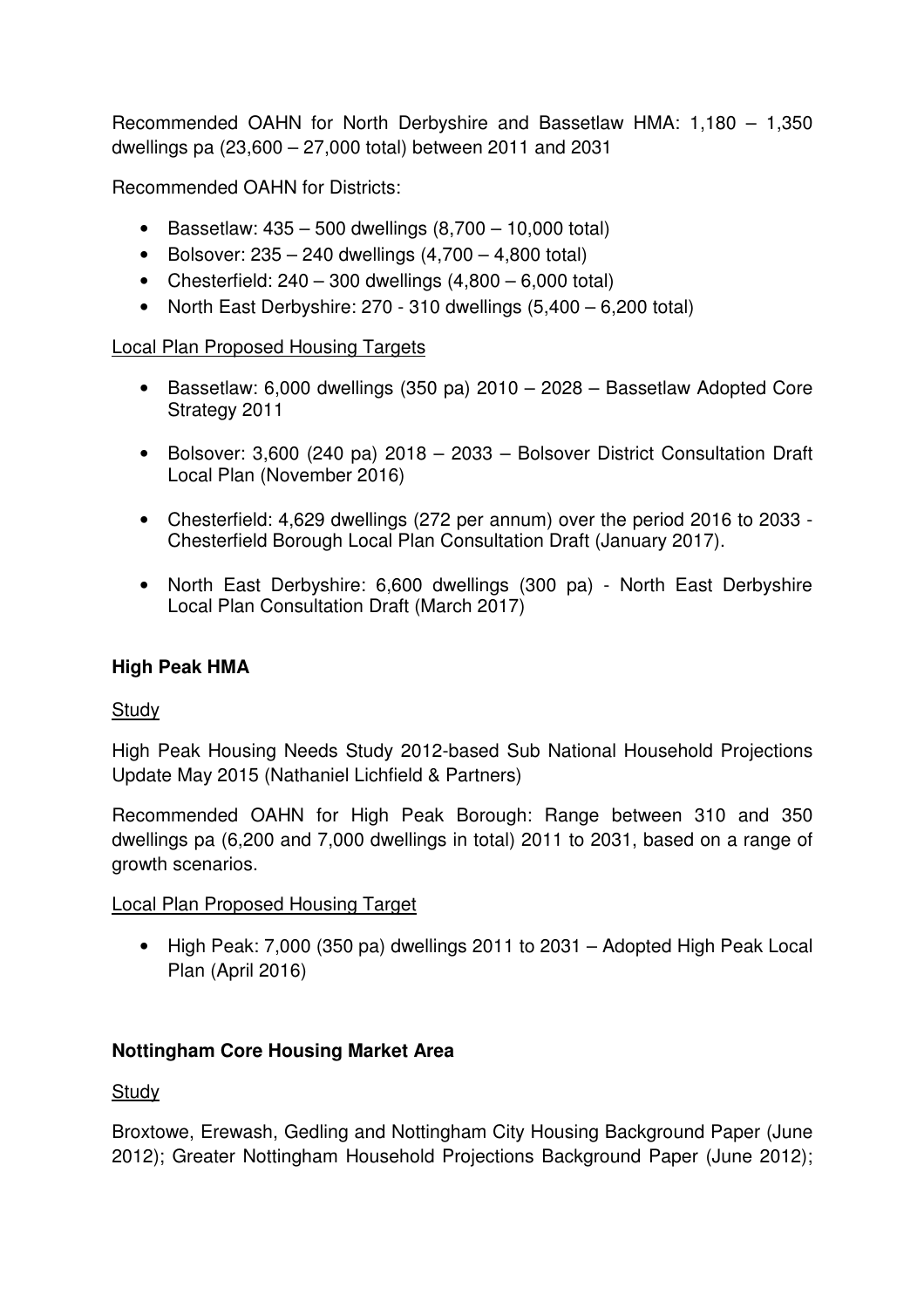Recommended OAHN for North Derbyshire and Bassetlaw HMA: 1,180 – 1,350 dwellings pa (23,600 – 27,000 total) between 2011 and 2031

Recommended OAHN for Districts:

- Bassetlaw:  $435 500$  dwellings  $(8,700 10,000$  total)
- Bolsover:  $235 240$  dwellings  $(4,700 4,800$  total)
- Chesterfield:  $240 300$  dwellings  $(4.800 6.000$  total)
- North East Derbyshire: 270 310 dwellings (5,400 6,200 total)

## Local Plan Proposed Housing Targets

- Bassetlaw: 6,000 dwellings (350 pa) 2010 2028 Bassetlaw Adopted Core Strategy 2011
- Bolsover: 3,600 (240 pa) 2018 2033 Bolsover District Consultation Draft Local Plan (November 2016)
- Chesterfield: 4,629 dwellings (272 per annum) over the period 2016 to 2033 Chesterfield Borough Local Plan Consultation Draft (January 2017).
- North East Derbyshire: 6,600 dwellings (300 pa) North East Derbyshire Local Plan Consultation Draft (March 2017)

## **High Peak HMA**

## **Study**

High Peak Housing Needs Study 2012-based Sub National Household Projections Update May 2015 (Nathaniel Lichfield & Partners)

Recommended OAHN for High Peak Borough: Range between 310 and 350 dwellings pa (6,200 and 7,000 dwellings in total) 2011 to 2031, based on a range of growth scenarios.

## Local Plan Proposed Housing Target

• High Peak: 7,000 (350 pa) dwellings 2011 to 2031 – Adopted High Peak Local Plan (April 2016)

## **Nottingham Core Housing Market Area**

## **Study**

Broxtowe, Erewash, Gedling and Nottingham City Housing Background Paper (June 2012); Greater Nottingham Household Projections Background Paper (June 2012);